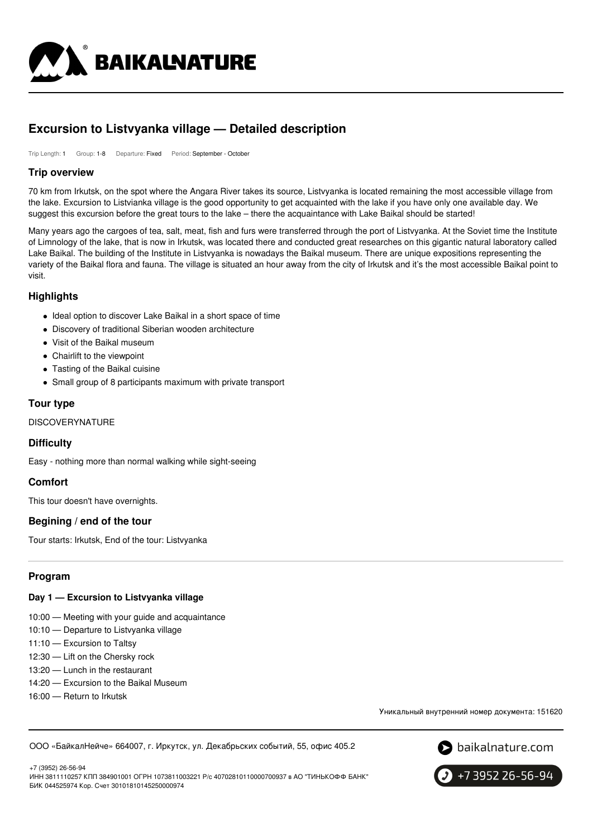

# **Excursion to Listvyanka village — Detailed description**

Trip Length: 1 Group: 1-8 Departure: Fixed Period: September - October

### **Trip overview**

70 km from Irkutsk, on the spot where the Angara River takes its source, Listvyanka is located remaining the most accessible village from the lake. Excursion to Listvianka village is the good opportunity to get acquainted with the lake if you have only one available day. We suggest this excursion before the great tours to the lake – there the acquaintance with Lake Baikal should be started!

Many years ago the cargoes of tea, salt, meat, fish and furs were transferred through the port of Listvyanka. At the Soviet time the Institute of Limnology of the lake, that is now in Irkutsk, was located there and conducted great researches on this gigantic natural laboratory called Lake Baikal. The building of the Institute in Listvyanka is nowadays the Baikal museum. There are unique expositions representing the variety of the Baikal flora and fauna. The village is situated an hour away from the city of Irkutsk and it's the most accessible Baikal point to visit.

### **Highlights**

- Ideal option to discover Lake Baikal in a short space of time
- Discovery of traditional Siberian wooden architecture
- Visit of the Baikal museum
- Chairlift to the viewpoint
- Tasting of the Baikal cuisine
- Small group of 8 participants maximum with private transport

### **Tour type**

DISCOVERYNATURE

### **Difficulty**

Easy - nothing more than normal walking while sight-seeing

# **Comfort**

This tour doesn't have overnights.

# **Begining / end of the tour**

Tour starts: Irkutsk, End of the tour: Listvyanka

# **Program**

### **Day 1 — Excursion to Listvyanka village**

- 10:00 Meeting with your guide and acquaintance
- 10:10 Departure to Listvyanka village
- 11:10 Excursion to Taltsy
- 12:30 Lift on the Chersky rock
- 13:20 Lunch in the restaurant
- 14:20 Excursion to the Baikal Museum
- 16:00 Return to Irkutsk

Уникальный внутренний номер документа: 151620

ООО «БайкалНейче» 664007, г. Иркутск, ул. Декабрьских событий, 55, офис 405.2



+7 (3952) 26-56-94 ИНН 3811110257 КПП 384901001 ОГРН 1073811003221 Р/с 40702810110000700937 в АО "ТИНЬКОФФ БАНК" БИК 044525974 Кор. Счет 30101810145250000974

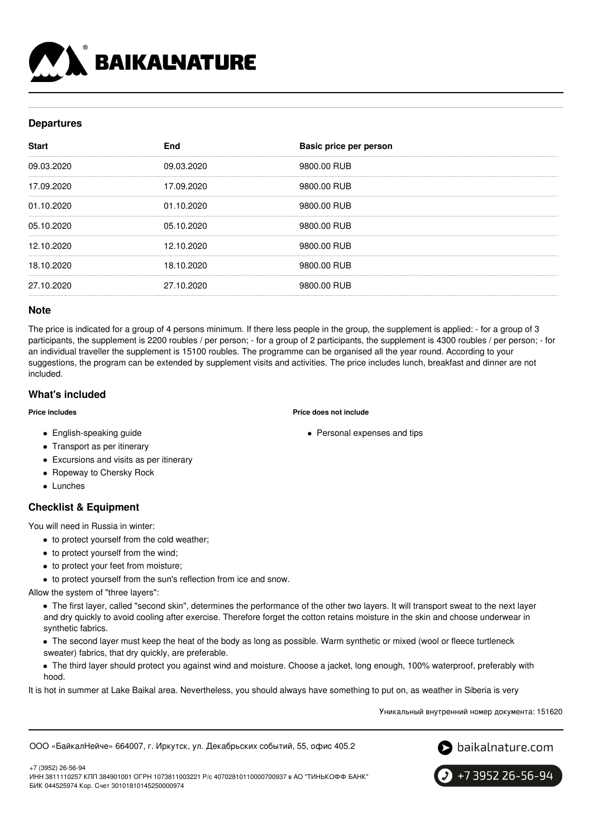

# **Departures**

| <b>Start</b> | <b>End</b> | Basic price per person |
|--------------|------------|------------------------|
| 09.03.2020   | 09.03.2020 | 9800.00 RUB            |
| 17.09.2020   | 17.09.2020 | 9800.00 RUB            |
| 01.10.2020   | 01.10.2020 | 9800.00 RUB            |
| 05.10.2020   | 05.10.2020 | 9800.00 RUB            |
| 12.10.2020   | 12.10.2020 | 9800.00 RUB            |
| 18.10.2020   | 18.10.2020 | 9800.00 RUB            |
| 27.10.2020   | 27.10.2020 | 9800.00 RUB            |

### **Note**

The price is indicated for a group of 4 persons minimum. If there less people in the group, the supplement is applied: - for a group of 3 participants, the supplement is 2200 roubles / per person; - for a group of 2 participants, the supplement is 4300 roubles / per person; - for an individual traveller the supplement is 15100 roubles. The programme can be organised all the year round. According to your suggestions, the program can be extended by supplement visits and activities. The price includes lunch, breakfast and dinner are not included.

# **What's included**

#### **Price includes**

- **Price does not include**
	- Personal expenses and tips
- English-speaking guide
- Transport as per itinerary
- Excursions and visits as per itinerary
- Ropeway to Chersky Rock
- Lunches

# **Checklist & Equipment**

You will need in Russia in winter:

- to protect yourself from the cold weather;
- to protect yourself from the wind;
- to protect your feet from moisture;
- to protect yourself from the sun's reflection from ice and snow.

Allow the system of "three layers":

The first layer, called "second skin", determines the performance of the other two layers. It will transport sweat to the next layer and dry quickly to avoid cooling after exercise. Therefore forget the cotton retains moisture in the skin and choose underwear in synthetic fabrics.

The second layer must keep the heat of the body as long as possible. Warm synthetic or mixed (wool or fleece turtleneck sweater) fabrics, that dry quickly, are preferable.

The third layer should protect you against wind and moisture. Choose a jacket, long enough, 100% waterproof, preferably with hood.

It is hot in summer at Lake Baikal area. Nevertheless, you should always have something to put on, as weather in Siberia is very

Уникальный внутренний номер документа: 151620

ООО «БайкалНейче» 664007, г. Иркутск, ул. Декабрьских событий, 55, офис 405.2



+7 (3952) 26-56-94

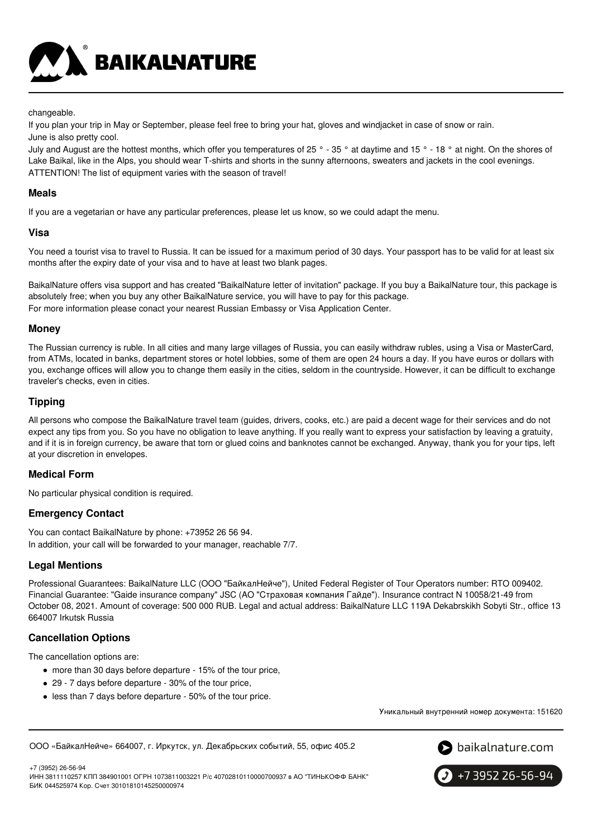**BAIKALNATURE** 

#### changeable.

If you plan your trip in May or September, please feel free to bring your hat, gloves and windjacket in case of snow or rain. June is also pretty cool.

July and August are the hottest months, which offer you temperatures of  $25^\circ$  - 35 ° at daytime and 15 ° - 18 ° at night. On the shores of Lake Baikal, like in the Alps, you should wear T-shirts and shorts in the sunny afternoons, sweaters and jackets in the cool evenings. ATTENTION! The list of equipment varies with the season of travel!

### **Meals**

If you are a vegetarian or have any particular preferences, please let us know, so we could adapt the menu.

### **Visa**

You need a tourist visa to travel to Russia. It can be issued for a maximum period of 30 days. Your passport has to be valid for at least six months after the expiry date of your visa and to have at least two blank pages.

BaikalNature offers visa support and has created "BaikalNature letter of invitation" package. If you buy a BaikalNature tour, this package is absolutely free; when you buy any other BaikalNature service, you will have to pay for this package. For more information please conact your nearest Russian Embassy or Visa Application Center.

# **Money**

The Russian currency is ruble. In all cities and many large villages of Russia, you can easily withdraw rubles, using a Visa or MasterCard, from ATMs, located in banks, department stores or hotel lobbies, some of them are open 24 hours a day. If you have euros or dollars with you, exchange offices will allow you to change them easily in the cities, seldom in the countryside. However, it can be difficult to exchange traveler's checks, even in cities.

### **Tipping**

All persons who compose the BaikalNature travel team (guides, drivers, cooks, etc.) are paid a decent wage for their services and do not expect any tips from you. So you have no obligation to leave anything. If you really want to express your satisfaction by leaving a gratuity, and if it is in foreign currency, be aware that torn or glued coins and banknotes cannot be exchanged. Anyway, thank you for your tips, left at your discretion in envelopes.

# **Medical Form**

No particular physical condition is required.

# **Emergency Contact**

You can contact BaikalNature by phone: +73952 26 56 94. In addition, your call will be forwarded to your manager, reachable 7/7.

# **Legal Mentions**

Professional Guarantees: BaikalNature LLC (ООО "БайкалНейче"), United Federal Register of Tour Operators number: RTO 009402. Financial Guarantee: "Gaide insurance company" JSC (АО "Страховая компания Гайде"). Insurance contract N 10058/21-49 from October 08, 2021. Amount of coverage: 500 000 RUB. Legal and actual address: BaikalNature LLC 119А Dekabrskikh Sobyti Str., office 13 664007 Irkutsk Russia

# **Cancellation Options**

The cancellation options are:

- more than 30 days before departure 15% of the tour price,
- 29 7 days before departure 30% of the tour price,
- less than 7 days before departure 50% of the tour price.

Уникальный внутренний номер документа: 151620

ООО «БайкалНейче» 664007, г. Иркутск, ул. Декабрьских событий, 55, офис 405.2



+7 (3952) 26-56-94 ИНН 3811110257 КПП 384901001 ОГРН 1073811003221 Р/с 40702810110000700937 в АО "ТИНЬКОФФ БАНК" БИК 044525974 Кор. Счет 30101810145250000974